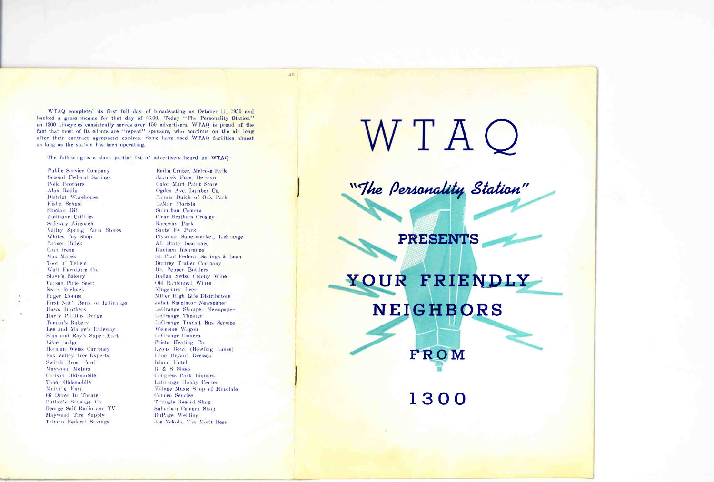WTAQ completed its first full day of broadcasting on October 11, 1950 and banked a gross income for that day of \$6.00. Today "The Personality Station" on 1300 kilocycles consistently serves over 150 advertisers. WTAQ is proud of the fact that most of its clients are "repeat" sponsors, who continue on the air long after their contract agreement expires. Some have used WTAO facilities almost as long as the station has been operating.

The following is a short partial list of advertisers heard on WTAQ:

**Public Service Company Second Federal Savings** Polk Brothers Alan Radio District Warehouse Kishel School Sinclair Oil **Audifone Utilities** Safeway Aircoach Valley Spring Farm Stores Whites Toy Shop Palmer Buick Ciub Irene Max Marek Toot n' Tellem Wolf Furniture Co. Slove's Bakery **Carson Pirie Scott Sears Roebuck Fager Homes** First Nat'l Bank of LaGrange Haws Brothers Harry Phillips Dodge Toman's Bakery Lee and Marge's Hideway Stan and Ray's Super Mart Lilae Lodge Herman Weiss Currency Fox Valley Tree Experts Switak Bros. Ford Maywood Motors Carlson Oldsmobile Tabor Oldsmobile Mulville Ford 66 Drive In Theater Putlak's Sausage Co. George Saif Radio and TV Maywood Tire Supply Talman Federal Savings

Radio Center, Melrose Park Javurek Furs, Berwyn **Color Mart Paint Store** Ogden Ave. Lumber Co. Palmer Buick of Oak Park LeMar Florists Suburban Camera **Clear Brothers Croslev** Raceway Park Sante Fe Park Plywood Supermarket, LaGrange All State Insurance Dunham Insurance St. Paul Federal Savings & Loan Buttrey Trailer Company Dr. Pepper Bottlers Italian Swiss Colony Wine Old Rabbinical Wines Kingsbury Beer Miller High Life Distributors Joliet Spectator Newspaper LaGrange Shopper Newspaper LaGrange Theater LaGrange Transit Bus Service Welcome Wagon LaGrange Camera Pristo Heating Co. Lyons Bowl (Bowling Lanes) Lane Bryant Dresses **Island Hotel** R & S Shoes **Congress Park Liquors** LaGrange Hobby Center Village Music Shop of Hinsdale Conoco Service Triangle Record Shop Suburban Camera Shop DuPage Welding Joe Nekola, Van Merit Beer

 $A\ddot{o}$ 

W T A O

"The Personality Station"

**PRESENTS** 

YOUR FRIENDLY **NEIGHBORS** FROM

1300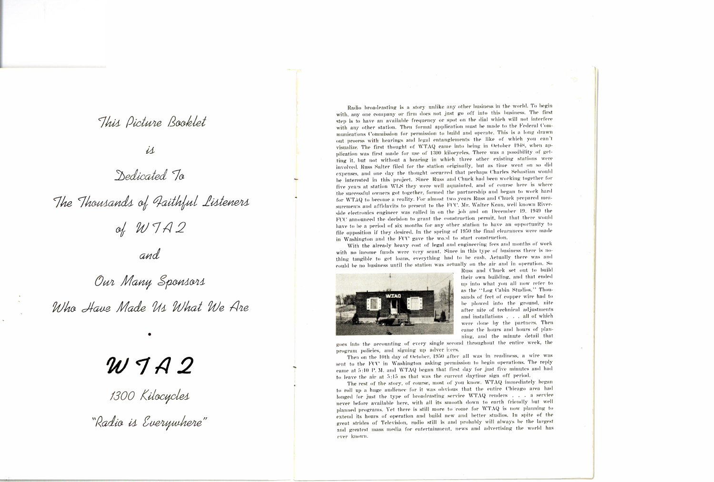# This Picture Booklet

#### $i\Delta$

## Dedicated To

The Thousands of Faithful Listeners of WTA2

and

Our Many Sponsors Who Have Made Us What We Are

# $W 7A2$

1300 Kilocycles<br>"Radio is Everywhere"

Radio broadcasting is a story unlike any other business in the world. To begin with, any one company or firm does not just go off into this business. The first step is to have an available frequency or spot on the dial which will not interfere with any other station. Then formal application must be made to the Federal Communications Commission for permission to build and operate. This is a long drawn out process with hearings and legal entanglements the like of which you can't visualize. The first thought of WTAQ came into being in October 1948, when application was first made for use of 1300 kiloeyeles. There was a possibility of getting it, but not without a hearing in which three other existing stations were involved. Russ Salter filed for the station originally, but as time went on so did expenses, and one day the thought occurred that perhaps Charles Sebastian would be interested in this project. Since Russ and Chuck had been working together for five years at station WLS they were well aquainted, and of course here is where the successful owners got together, formed the partnership and began to work hard for WTAQ to become a reality. For almost two years Russ and Chuck prepared measurements and affidavits to present to the FCC. Mr. Walter Kean, well known Riverside electronics engineer was called in on the job and on December 19, 1949 the FCC announced the decision to grant the construction permit, but that there would have to be a period of six months for any other station to have an opportunity to file opposition if they desired. In the spring of 1950 the final clearances were made in Washington and the FCC gave the word to start construction.

With the already heavy cost of legal and engineering fees and months of work with no income funds were very scant. Since in this type of business there is nothing tangible to get loans, everything had to be eash. Actually there was and could be no business until the station was actually on the air and in operation. So



Russ and Chuck set out to build their own building, and that ended up into what you all now refer to as the "Log Cabin Studios." Thousands of feet of copper wire had to be plowed into the ground, nite after nite of technical adjustments and installations . . . all of which were done by the partners. Then came the hours and hours of planning, and the minute detail that

goes into the accounting of every single second throughout the entire week, the program policies, and signing up adver isers.

Then on the 10th day of October, 1950 after all was in readiness, a wire was sent to the FCC in Washington asking permission to begin operations. The reply came at 5:10 P.M. and WTAQ began that first day for just five minutes and had to leave the air at 5:15 as that was the current daytime sign off period.

The rest of the story, of course, most of you know. WTAQ immediately began to roll up a huge audience for it was obvious that the entire Chicago area had longed for just the type of broadcasting service WTAQ renders . . . a service never before available here, with all its smooth down to earth friendly but well planned programs. Yet there is still more to 'come for WTAQ is now planning to extend its hours of operation and build new and better studios. In spite of the great strides of Television, radio still is and probably will always be the largest and greatest mass media for entertainment, news and advertising the world has ever known.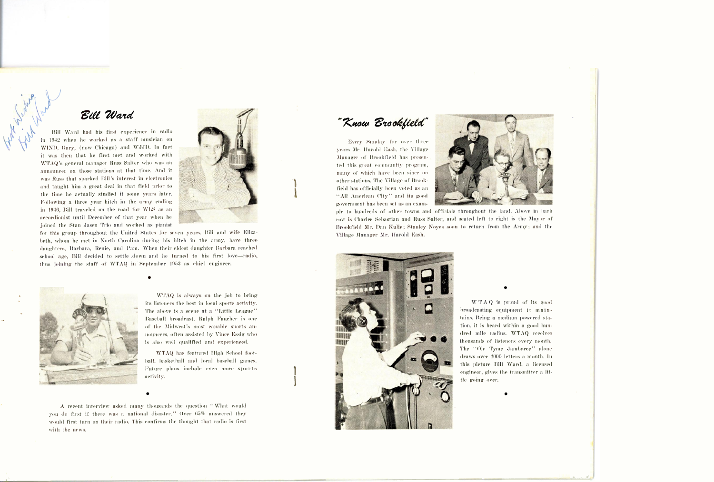# Ede 2Uazd

Dill Ward had his first experience in radio in 1912 when he worked as a staff musician on WIND, Gary, (now Chicago) and WJJD. In fact it was then that he first met and worked with \V'I'A Q's general manager Russ Salter who was an announcer on those stations at that time. And it was Russ that sparked Bill's interest in electronics and taught him a great deal in that, field prior to the time he actually studied it some years later. Following a three year hitch in the army ending in 1946, Bill traveled on the road for WLS as an accordionist until December of that year when he joined the Stan Jasen Trio and worked as pianist



for this group throughout the United States for seven years. Bill and wife Elizabeth, whom he met in North Carolina during his hitch in the army, have three daughters, Barbara, Renie, and Pam. \\ hen their eldest daughter Barbara reached school age, Bill decided to settle .down and he turned to his first love-radio, thus joining the staff of \V'IAQ in 'September 1953 as chief engineer.



\\ TAQ is always on the job to bring its listeners the best in local sports activity. The above is a scene at a "Little League" Baseball broadcast. Ralph Faucher is one of the Midwest's most capable sports announcers, often assisted by \ ince Essig who is also well qualified and experienced.

\VTAQ has featured JIigh School foot hall, basketball and local baseball games. Future plans include even more sports activity.

1 ,

<sup>A</sup>recent interview asked many thousands the question "What would you do first if there was a national disaster." Over 65% answered they would first turn on their radio. This confirms the thought that radio is first with the news.

"Know Brookfield"

Every Sunday for over three years JIr. Harold Hash. the Village Manager of Brookfield has presented this great community program, many of which have been since on other stations. The Village of Brookfield has officially been voted as an "All American City" and its goo<sup>d</sup> government has been set as an exam-



ple to hundreds of other towns and officials throughout the land. Above in back row is Charles Sebastian and Russ Salter, and seated left to right is the Mayor of Brookfield Mr. Dan Kulie; Stanley Noyes soon to return from the Army; and the Village Manager Mr. Harold Eash.



WTAQ is proud of its good broadcasting equipment it maintains. Being a medium powered station, it is heard within a good hundred mile radius. WTAQ receives thousands of listeners every month. The "Ole Tyme Jamboree" alone draws over 2000 letters a month. In this picture Bill Ward, a licensed engineer., gives the transmitter a little going over.